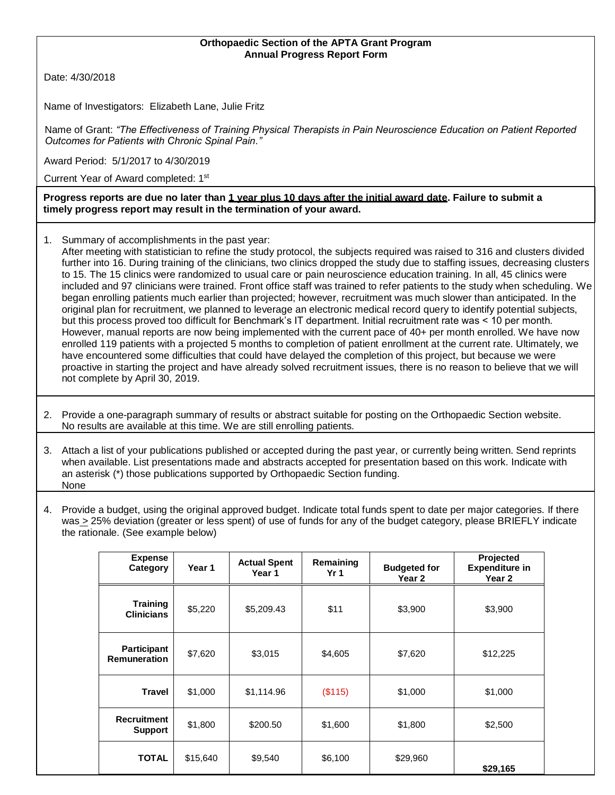## **Orthopaedic Section of the APTA Grant Program Annual Progress Report Form**

Date: 4/30/2018

Name of Investigators: Elizabeth Lane, Julie Fritz

Name of Grant: *"The Effectiveness of Training Physical Therapists in Pain Neuroscience Education on Patient Reported Outcomes for Patients with Chronic Spinal Pain."* 

Award Period: 5/1/2017 to 4/30/2019

Current Year of Award completed: 1<sup>st</sup>

**Progress reports are due no later than 1 year plus 10 days after the initial award date. Failure to submit a timely progress report may result in the termination of your award.**

1. Summary of accomplishments in the past year:

After meeting with statistician to refine the study protocol, the subjects required was raised to 316 and clusters divided further into 16. During training of the clinicians, two clinics dropped the study due to staffing issues, decreasing clusters to 15. The 15 clinics were randomized to usual care or pain neuroscience education training. In all, 45 clinics were included and 97 clinicians were trained. Front office staff was trained to refer patients to the study when scheduling. We began enrolling patients much earlier than projected; however, recruitment was much slower than anticipated. In the original plan for recruitment, we planned to leverage an electronic medical record query to identify potential subjects, but this process proved too difficult for Benchmark's IT department. Initial recruitment rate was < 10 per month. However, manual reports are now being implemented with the current pace of 40+ per month enrolled. We have now enrolled 119 patients with a projected 5 months to completion of patient enrollment at the current rate. Ultimately, we have encountered some difficulties that could have delayed the completion of this project, but because we were proactive in starting the project and have already solved recruitment issues, there is no reason to believe that we will not complete by April 30, 2019.

2. Provide a one-paragraph summary of results or abstract suitable for posting on the Orthopaedic Section website. No results are available at this time. We are still enrolling patients.

3. Attach a list of your publications published or accepted during the past year, or currently being written. Send reprints when available. List presentations made and abstracts accepted for presentation based on this work. Indicate with an asterisk (\*) those publications supported by Orthopaedic Section funding. None

4. Provide a budget, using the original approved budget. Indicate total funds spent to date per major categories. If there was > 25% deviation (greater or less spent) of use of funds for any of the budget category, please BRIEFLY indicate the rationale. (See example below)

| <b>Expense</b><br>Category                | Year 1   | <b>Actual Spent</b><br>Year 1 | Remaining<br>Yr <sub>1</sub> | <b>Budgeted for</b><br>Year <sub>2</sub> | Projected<br><b>Expenditure in</b><br>Year 2 |
|-------------------------------------------|----------|-------------------------------|------------------------------|------------------------------------------|----------------------------------------------|
| <b>Training</b><br><b>Clinicians</b>      | \$5,220  | \$5,209.43                    | \$11                         | \$3,900                                  | \$3,900                                      |
| <b>Participant</b><br><b>Remuneration</b> | \$7,620  | \$3,015                       | \$4,605                      | \$7,620                                  | \$12,225                                     |
| <b>Travel</b>                             | \$1,000  | \$1,114.96                    | (\$115)                      | \$1,000                                  | \$1,000                                      |
| <b>Recruitment</b><br><b>Support</b>      | \$1,800  | \$200.50                      | \$1,600                      | \$1,800                                  | \$2,500                                      |
| <b>TOTAL</b>                              | \$15,640 | \$9,540                       | \$6,100                      | \$29,960                                 | \$29,165                                     |